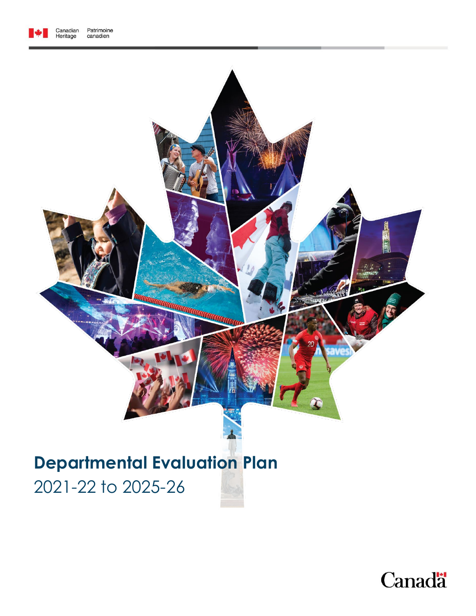



# **Departmental Evaluation Plan**

2021-22 to 2025-26

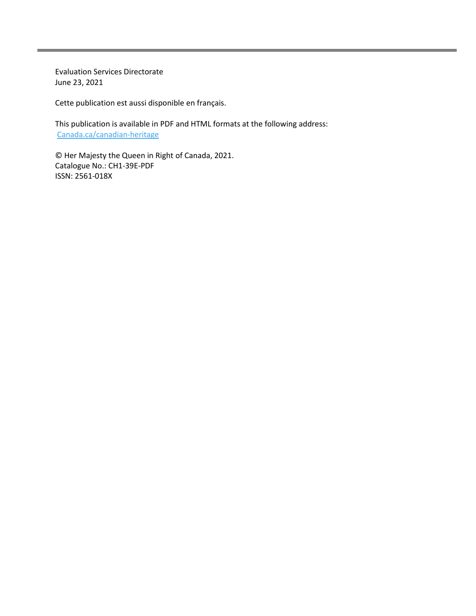Evaluation Services Directorate June 23, 2021

Cette publication est aussi disponible en français.

This publication is available in PDF and HTML formats at the following address: [Canada.ca/canadian-heritage](https://www.canada.ca/en/canadian-heritage/corporate/publications/evaluations.html)

© Her Majesty the Queen in Right of Canada, 2021. Catalogue No.: CH1-39E-PDF ISSN: 2561-018X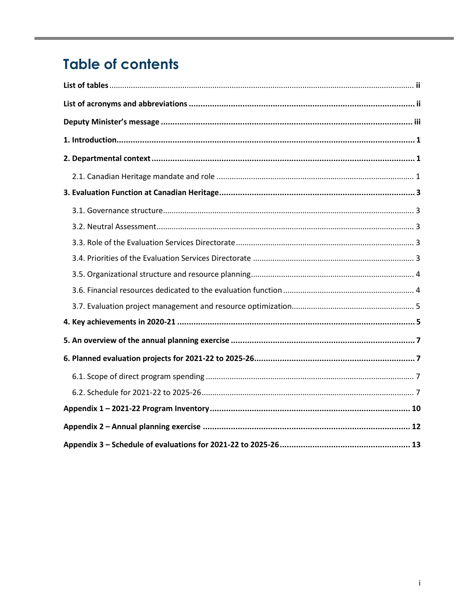# **Table of contents**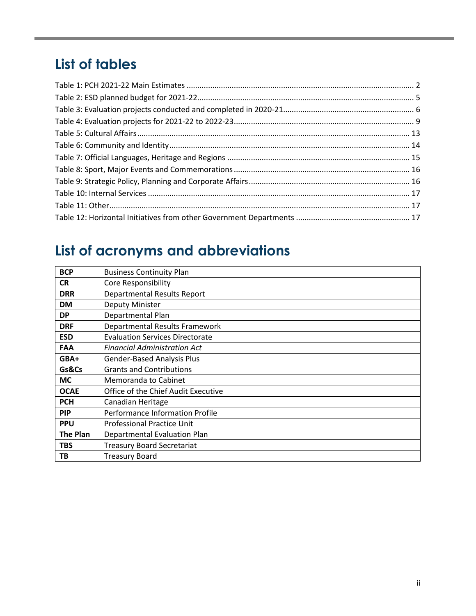# <span id="page-3-0"></span>**List of tables**

# <span id="page-3-1"></span>**List of acronyms and abbreviations**

| <b>BCP</b>      | <b>Business Continuity Plan</b>        |
|-----------------|----------------------------------------|
| <b>CR</b>       | <b>Core Responsibility</b>             |
| <b>DRR</b>      | <b>Departmental Results Report</b>     |
| <b>DM</b>       | Deputy Minister                        |
| <b>DP</b>       | Departmental Plan                      |
| <b>DRF</b>      | Departmental Results Framework         |
| <b>ESD</b>      | <b>Evaluation Services Directorate</b> |
| <b>FAA</b>      | <b>Financial Administration Act</b>    |
| GBA+            | <b>Gender-Based Analysis Plus</b>      |
| Gs&Cs           | <b>Grants and Contributions</b>        |
| <b>MC</b>       | Memoranda to Cabinet                   |
| <b>OCAE</b>     | Office of the Chief Audit Executive    |
| <b>PCH</b>      | Canadian Heritage                      |
| <b>PIP</b>      | Performance Information Profile        |
| <b>PPU</b>      | <b>Professional Practice Unit</b>      |
| <b>The Plan</b> | Departmental Evaluation Plan           |
| <b>TBS</b>      | <b>Treasury Board Secretariat</b>      |
| TВ              | <b>Treasury Board</b>                  |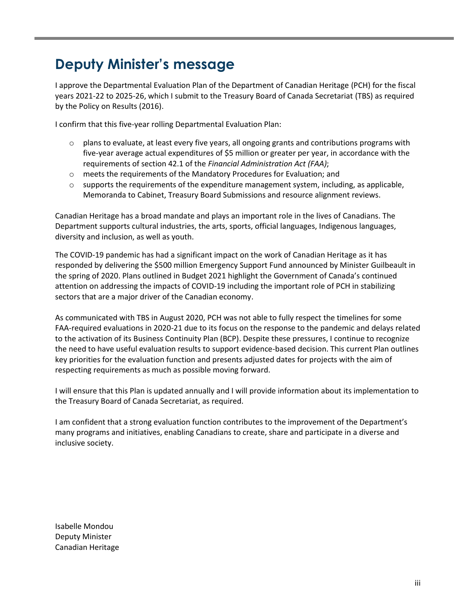# <span id="page-4-0"></span>**Deputy Minister's message**

I approve the Departmental Evaluation Plan of the Department of Canadian Heritage (PCH) for the fiscal years 2021-22 to 2025-26, which I submit to the Treasury Board of Canada Secretariat (TBS) as required by the Policy on Results (2016).

I confirm that this five-year rolling Departmental Evaluation Plan:

- $\circ$  plans to evaluate, at least every five years, all ongoing grants and contributions programs with five-year average actual expenditures of \$5 million or greater per year, in accordance with the requirements of section 42.1 of the *Financial Administration Act (FAA)*;
- o meets the requirements of the Mandatory Procedures for Evaluation; and
- $\circ$  supports the requirements of the expenditure management system, including, as applicable, Memoranda to Cabinet, Treasury Board Submissions and resource alignment reviews.

Canadian Heritage has a broad mandate and plays an important role in the lives of Canadians. The Department supports cultural industries, the arts, sports, official languages, Indigenous languages, diversity and inclusion, as well as youth.

The COVID-19 pandemic has had a significant impact on the work of Canadian Heritage as it has responded by delivering the \$500 million Emergency Support Fund announced by Minister Guilbeault in the spring of 2020. Plans outlined in Budget 2021 highlight the Government of Canada's continued attention on addressing the impacts of COVID-19 including the important role of PCH in stabilizing sectors that are a major driver of the Canadian economy.

As communicated with TBS in August 2020, PCH was not able to fully respect the timelines for some FAA-required evaluations in 2020-21 due to its focus on the response to the pandemic and delays related to the activation of its Business Continuity Plan (BCP). Despite these pressures, I continue to recognize the need to have useful evaluation results to support evidence-based decision. This current Plan outlines key priorities for the evaluation function and presents adjusted dates for projects with the aim of respecting requirements as much as possible moving forward.

I will ensure that this Plan is updated annually and I will provide information about its implementation to the Treasury Board of Canada Secretariat, as required.

I am confident that a strong evaluation function contributes to the improvement of the Department's many programs and initiatives, enabling Canadians to create, share and participate in a diverse and inclusive society.

Isabelle Mondou Deputy Minister Canadian Heritage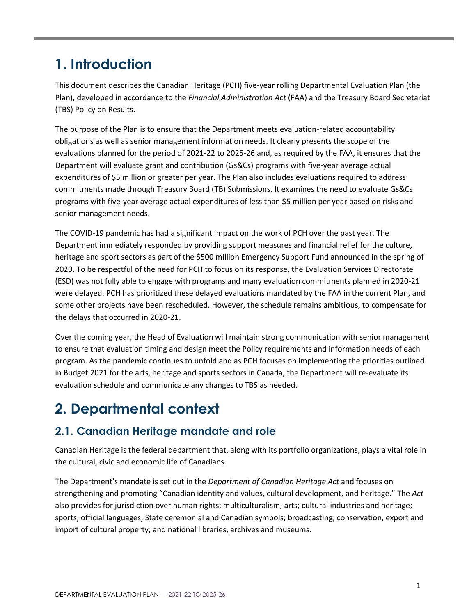# <span id="page-5-0"></span>**1. Introduction**

This document describes the Canadian Heritage (PCH) five-year rolling Departmental Evaluation Plan (the Plan), developed in accordance to the *Financial Administration Act* (FAA) and the Treasury Board Secretariat (TBS) Policy on Results.

The purpose of the Plan is to ensure that the Department meets evaluation-related accountability obligations as well as senior management information needs. It clearly presents the scope of the evaluations planned for the period of 2021-22 to 2025-26 and, as required by the FAA, it ensures that the Department will evaluate grant and contribution (Gs&Cs) programs with five-year average actual expenditures of \$5 million or greater per year. The Plan also includes evaluations required to address commitments made through Treasury Board (TB) Submissions. It examines the need to evaluate Gs&Cs programs with five-year average actual expenditures of less than \$5 million per year based on risks and senior management needs.

The COVID-19 pandemic has had a significant impact on the work of PCH over the past year. The Department immediately responded by providing support measures and financial relief for the culture, heritage and sport sectors as part of the \$500 million Emergency Support Fund announced in the spring of 2020. To be respectful of the need for PCH to focus on its response, the Evaluation Services Directorate (ESD) was not fully able to engage with programs and many evaluation commitments planned in 2020-21 were delayed. PCH has prioritized these delayed evaluations mandated by the FAA in the current Plan, and some other projects have been rescheduled. However, the schedule remains ambitious, to compensate for the delays that occurred in 2020-21.

Over the coming year, the Head of Evaluation will maintain strong communication with senior management to ensure that evaluation timing and design meet the Policy requirements and information needs of each program. As the pandemic continues to unfold and as PCH focuses on implementing the priorities outlined in Budget 2021 for the arts, heritage and sports sectors in Canada, the Department will re-evaluate its evaluation schedule and communicate any changes to TBS as needed.

# <span id="page-5-1"></span>**2. Departmental context**

### <span id="page-5-2"></span>**2.1. Canadian Heritage mandate and role**

Canadian Heritage is the federal department that, along with its portfolio organizations, plays a vital role in the cultural, civic and economic life of Canadians.

The Department's mandate is set out in the *Department of Canadian Heritage Act* and focuses on strengthening and promoting "Canadian identity and values, cultural development, and heritage." The *Act* also provides for jurisdiction over human rights; multiculturalism; arts; cultural industries and heritage; sports; official languages; State ceremonial and Canadian symbols; broadcasting; conservation, export and import of cultural property; and national libraries, archives and museums.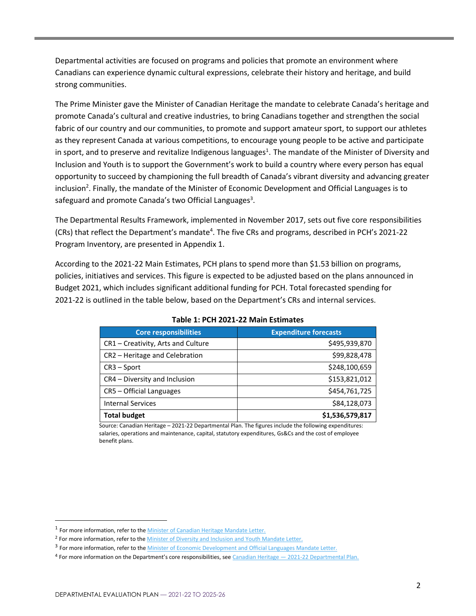Departmental activities are focused on programs and policies that promote an environment where Canadians can experience dynamic cultural expressions, celebrate their history and heritage, and build strong communities.

The Prime Minister gave the Minister of Canadian Heritage the mandate to celebrate Canada's heritage and promote Canada's cultural and creative industries, to bring Canadians together and strengthen the social fabric of our country and our communities, to promote and support amateur sport, to support our athletes as they represent Canada at various competitions, to encourage young people to be active and participate in sport, and to preserve and revitalize Indigenous languages<sup>1</sup>. The mandate of the Minister of Diversity and Inclusion and Youth is to support the Government's work to build a country where every person has equal opportunity to succeed by championing the full breadth of Canada's vibrant diversity and advancing greater inclusion<sup>2</sup>. Finally, the mandate of the Minister of Economic Development and Official Languages is to safeguard and promote Canada's two Official Languages<sup>3</sup>.

The Departmental Results Framework, implemented in November 2017, sets out five core responsibilities (CRs) that reflect the Department's mandate<sup>4</sup>. The five CRs and programs, described in PCH's 2021-22 Program Inventory, are presented in Appendix 1.

According to the 2021-22 Main Estimates, PCH plans to spend more than \$1.53 billion on programs, policies, initiatives and services. This figure is expected to be adjusted based on the plans announced in Budget 2021, which includes significant additional funding for PCH. Total forecasted spending for 2021-22 is outlined in the table below, based on the Department's CRs and internal services.

<span id="page-6-0"></span>

| <b>Core responsibilities</b>       | <b>Expenditure forecasts</b> |
|------------------------------------|------------------------------|
| CR1 - Creativity, Arts and Culture | \$495,939,870                |
| CR2 - Heritage and Celebration     | \$99,828,478                 |
| $CR3 - Sport$                      | \$248,100,659                |
| CR4 - Diversity and Inclusion      | \$153,821,012                |
| CR5 - Official Languages           | \$454,761,725                |
| <b>Internal Services</b>           | \$84,128,073                 |
| <b>Total budget</b>                | \$1,536,579,817              |

#### **Table 1: PCH 2021-22 Main Estimates**

Source: Canadian Heritage – 2021-22 Departmental Plan. The figures include the following expenditures: salaries, operations and maintenance, capital, statutory expenditures, Gs&Cs and the cost of employee benefit plans.

<sup>&</sup>lt;sup>1</sup> For more information, refer to the **Minister of Canadian Heritage Mandate Letter**.

<sup>&</sup>lt;sup>2</sup> For more information, refer to th[e Minister of Diversity and Inclusion and Youth Mandate Letter.](https://pm.gc.ca/en/mandate-letters/minister-diversity-and-inclusion-and-youth-mandate-letter)

<sup>&</sup>lt;sup>3</sup> For more information, refer to the Minister [of Economic Development and Official Languages Mandate Letter.](https://pm.gc.ca/en/mandate-letters/minister-economic-development-and-official-languages-mandate-letter)

 $4$  For more information on the Department's core responsibilities, see Canadian Heritage  $-2021-22$  Departmental Plan.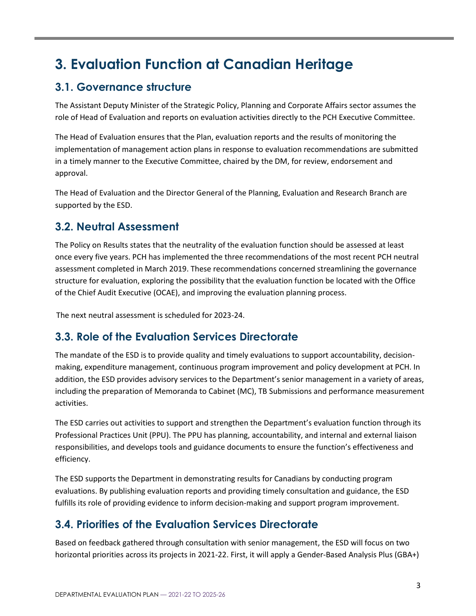# <span id="page-7-0"></span>**3. Evaluation Function at Canadian Heritage**

### <span id="page-7-1"></span>**3.1. Governance structure**

The Assistant Deputy Minister of the Strategic Policy, Planning and Corporate Affairs sector assumes the role of Head of Evaluation and reports on evaluation activities directly to the PCH Executive Committee.

The Head of Evaluation ensures that the Plan, evaluation reports and the results of monitoring the implementation of management action plans in response to evaluation recommendations are submitted in a timely manner to the Executive Committee, chaired by the DM, for review, endorsement and approval.

The Head of Evaluation and the Director General of the Planning, Evaluation and Research Branch are supported by the ESD.

### <span id="page-7-2"></span>**3.2. Neutral Assessment**

The Policy on Results states that the neutrality of the evaluation function should be assessed at least once every five years. PCH has implemented the three recommendations of the most recent PCH neutral assessment completed in March 2019. These recommendations concerned streamlining the governance structure for evaluation, exploring the possibility that the evaluation function be located with the Office of the Chief Audit Executive (OCAE), and improving the evaluation planning process.

The next neutral assessment is scheduled for 2023-24.

### <span id="page-7-3"></span>**3.3. Role of the Evaluation Services Directorate**

The mandate of the ESD is to provide quality and timely evaluations to support accountability, decisionmaking, expenditure management, continuous program improvement and policy development at PCH. In addition, the ESD provides advisory services to the Department's senior management in a variety of areas, including the preparation of Memoranda to Cabinet (MC), TB Submissions and performance measurement activities.

The ESD carries out activities to support and strengthen the Department's evaluation function through its Professional Practices Unit (PPU). The PPU has planning, accountability, and internal and external liaison responsibilities, and develops tools and guidance documents to ensure the function's effectiveness and efficiency.

The ESD supports the Department in demonstrating results for Canadians by conducting program evaluations. By publishing evaluation reports and providing timely consultation and guidance, the ESD fulfills its role of providing evidence to inform decision-making and support program improvement.

### <span id="page-7-4"></span>**3.4. Priorities of the Evaluation Services Directorate**

Based on feedback gathered through consultation with senior management, the ESD will focus on two horizontal priorities across its projects in 2021-22. First, it will apply a Gender-Based Analysis Plus (GBA+)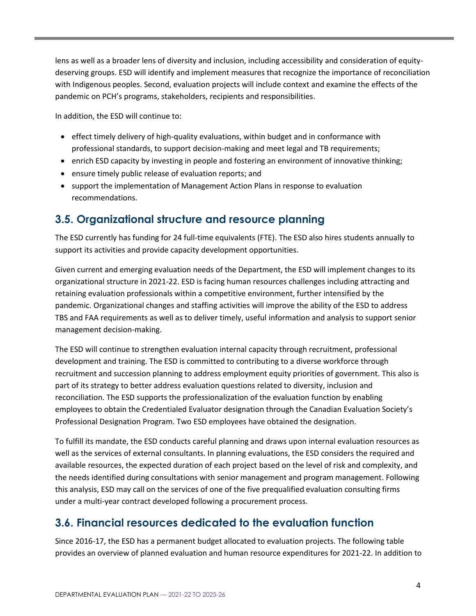lens as well as a broader lens of diversity and inclusion, including accessibility and consideration of equitydeserving groups. ESD will identify and implement measures that recognize the importance of reconciliation with Indigenous peoples. Second, evaluation projects will include context and examine the effects of the pandemic on PCH's programs, stakeholders, recipients and responsibilities.

In addition, the ESD will continue to:

- effect timely delivery of high-quality evaluations, within budget and in conformance with professional standards, to support decision-making and meet legal and TB requirements;
- enrich ESD capacity by investing in people and fostering an environment of innovative thinking;
- ensure timely public release of evaluation reports; and
- support the implementation of Management Action Plans in response to evaluation recommendations.

### <span id="page-8-0"></span>**3.5. Organizational structure and resource planning**

The ESD currently has funding for 24 full-time equivalents (FTE). The ESD also hires students annually to support its activities and provide capacity development opportunities.

Given current and emerging evaluation needs of the Department, the ESD will implement changes to its organizational structure in 2021-22. ESD is facing human resources challenges including attracting and retaining evaluation professionals within a competitive environment, further intensified by the pandemic. Organizational changes and staffing activities will improve the ability of the ESD to address TBS and FAA requirements as well as to deliver timely, useful information and analysis to support senior management decision-making.

The ESD will continue to strengthen evaluation internal capacity through recruitment, professional development and training. The ESD is committed to contributing to a diverse workforce through recruitment and succession planning to address employment equity priorities of government. This also is part of its strategy to better address evaluation questions related to diversity, inclusion and reconciliation. The ESD supports the professionalization of the evaluation function by enabling employees to obtain the Credentialed Evaluator designation through the Canadian Evaluation Society's Professional Designation Program. Two ESD employees have obtained the designation.

To fulfill its mandate, the ESD conducts careful planning and draws upon internal evaluation resources as well as the services of external consultants. In planning evaluations, the ESD considers the required and available resources, the expected duration of each project based on the level of risk and complexity, and the needs identified during consultations with senior management and program management. Following this analysis, ESD may call on the services of one of the five prequalified evaluation consulting firms under a multi-year contract developed following a procurement process.

### <span id="page-8-1"></span>**3.6. Financial resources dedicated to the evaluation function**

Since 2016-17, the ESD has a permanent budget allocated to evaluation projects. The following table provides an overview of planned evaluation and human resource expenditures for 2021-22. In addition to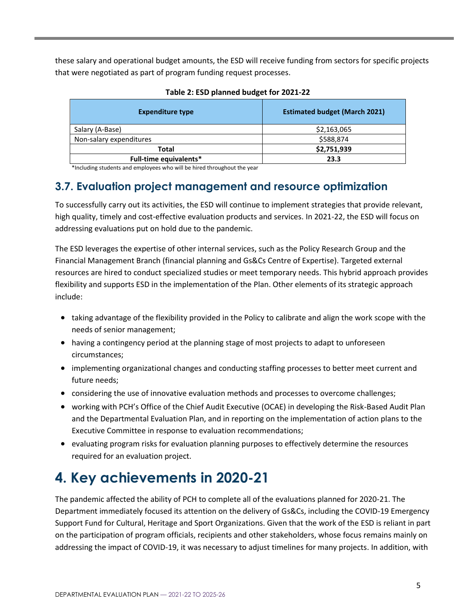these salary and operational budget amounts, the ESD will receive funding from sectors for specific projects that were negotiated as part of program funding request processes.

<span id="page-9-2"></span>

| <b>Expenditure type</b> | <b>Estimated budget (March 2021)</b> |
|-------------------------|--------------------------------------|
| Salary (A-Base)         | \$2,163,065                          |
| Non-salary expenditures | \$588,874                            |
| Total                   | \$2,751,939                          |
| Full-time equivalents*  | 23.3                                 |

#### **Table 2: ESD planned budget for 2021-22**

\*Including students and employees who will be hired throughout the year

### <span id="page-9-0"></span>**3.7. Evaluation project management and resource optimization**

To successfully carry out its activities, the ESD will continue to implement strategies that provide relevant, high quality, timely and cost-effective evaluation products and services. In 2021-22, the ESD will focus on addressing evaluations put on hold due to the pandemic.

The ESD leverages the expertise of other internal services, such as the Policy Research Group and the Financial Management Branch (financial planning and Gs&Cs Centre of Expertise). Targeted external resources are hired to conduct specialized studies or meet temporary needs. This hybrid approach provides flexibility and supports ESD in the implementation of the Plan. Other elements of its strategic approach include:

- taking advantage of the flexibility provided in the Policy to calibrate and align the work scope with the needs of senior management;
- having a contingency period at the planning stage of most projects to adapt to unforeseen circumstances;
- implementing organizational changes and conducting staffing processes to better meet current and future needs;
- considering the use of innovative evaluation methods and processes to overcome challenges;
- working with PCH's Office of the Chief Audit Executive (OCAE) in developing the Risk-Based Audit Plan and the Departmental Evaluation Plan, and in reporting on the implementation of action plans to the Executive Committee in response to evaluation recommendations;
- evaluating program risks for evaluation planning purposes to effectively determine the resources required for an evaluation project.

# <span id="page-9-1"></span>**4. Key achievements in 2020-21**

The pandemic affected the ability of PCH to complete all of the evaluations planned for 2020-21. The Department immediately focused its attention on the delivery of Gs&Cs, including the COVID-19 Emergency Support Fund for Cultural, Heritage and Sport Organizations. Given that the work of the ESD is reliant in part on the participation of program officials, recipients and other stakeholders, whose focus remains mainly on addressing the impact of COVID-19, it was necessary to adjust timelines for many projects. In addition, with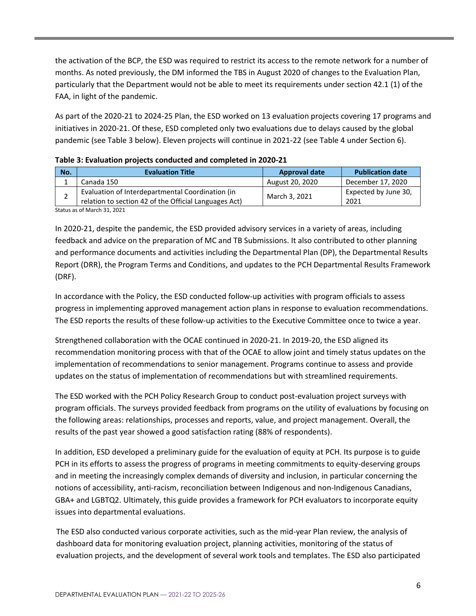the activation of the BCP, the ESD was required to restrict its access to the remote network for a number of months. As noted previously, the DM informed the TBS in August 2020 of changes to the Evaluation Plan, particularly that the Department would not be able to meet its requirements under section 42.1 (1) of the FAA, in light of the pandemic.

As part of the 2020-21 to 2024-25 Plan, the ESD worked on 13 evaluation projects covering 17 programs and initiatives in 2020-21. Of these, ESD completed only two evaluations due to delays caused by the global pandemic (see Table 3 below). Eleven projects will continue in 2021-22 (see Table 4 under Section 6).

| No. | <b>Evaluation Title</b>                               | <b>Approval date</b> | <b>Publication date</b> |
|-----|-------------------------------------------------------|----------------------|-------------------------|
|     | Canada 150                                            | August 20, 2020      | December 17, 2020       |
| ∸   | Evaluation of Interdepartmental Coordination (in      | March 3, 2021        | Expected by June 30,    |
|     | relation to section 42 of the Official Languages Act) |                      | 2021                    |
|     |                                                       |                      |                         |

<span id="page-10-0"></span>

|  | Table 3: Evaluation projects conducted and completed in 2020-21 |  |  |
|--|-----------------------------------------------------------------|--|--|
|--|-----------------------------------------------------------------|--|--|

Status as of March 31, 2021

In 2020-21, despite the pandemic, the ESD provided advisory services in a variety of areas, including feedback and advice on the preparation of MC and TB Submissions. It also contributed to other planning and performance documents and activities including the Departmental Plan (DP), the Departmental Results Report (DRR), the Program Terms and Conditions, and updates to the PCH Departmental Results Framework (DRF).

In accordance with the Policy, the ESD conducted follow-up activities with program officials to assess progress in implementing approved management action plans in response to evaluation recommendations. The ESD reports the results of these follow-up activities to the Executive Committee once to twice a year.

Strengthened collaboration with the OCAE continued in 2020-21. In 2019-20, the ESD aligned its recommendation monitoring process with that of the OCAE to allow joint and timely status updates on the implementation of recommendations to senior management. Programs continue to assess and provide updates on the status of implementation of recommendations but with streamlined requirements.

The ESD worked with the PCH Policy Research Group to conduct post-evaluation project surveys with program officials. The surveys provided feedback from programs on the utility of evaluations by focusing on the following areas: relationships, processes and reports, value, and project management. Overall, the results of the past year showed a good satisfaction rating (88% of respondents).

In addition, ESD developed a preliminary guide for the evaluation of equity at PCH. Its purpose is to guide PCH in its efforts to assess the progress of programs in meeting commitments to equity-deserving groups and in meeting the increasingly complex demands of diversity and inclusion, in particular concerning the notions of accessibility, anti-racism, reconciliation between Indigenous and non-Indigenous Canadians, GBA+ and LGBTQ2. Ultimately, this guide provides a framework for PCH evaluators to incorporate equity issues into departmental evaluations.

The ESD also conducted various corporate activities, such as the mid-year Plan review, the analysis of dashboard data for monitoring evaluation project, planning activities, monitoring of the status of evaluation projects, and the development of several work tools and templates. The ESD also participated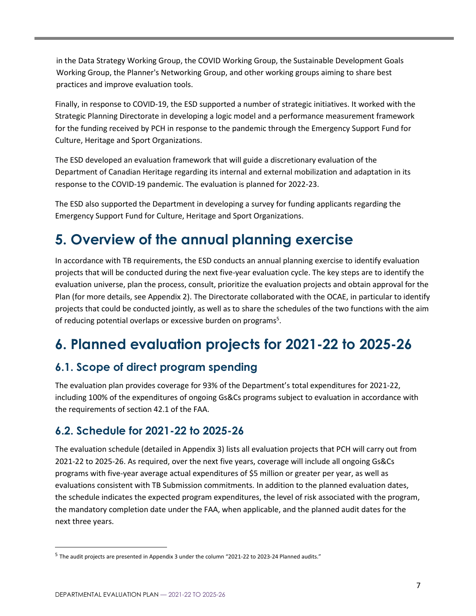in the Data Strategy Working Group, the COVID Working Group, the Sustainable Development Goals Working Group, the Planner's Networking Group, and other working groups aiming to share best practices and improve evaluation tools.

Finally, in response to COVID-19, the ESD supported a number of strategic initiatives. It worked with the Strategic Planning Directorate in developing a logic model and a performance measurement framework for the funding received by PCH in response to the pandemic through the Emergency Support Fund for Culture, Heritage and Sport Organizations.

The ESD developed an evaluation framework that will guide a discretionary evaluation of the Department of Canadian Heritage regarding its internal and external mobilization and adaptation in its response to the COVID-19 pandemic. The evaluation is planned for 2022-23.

The ESD also supported the Department in developing a survey for funding applicants regarding the Emergency Support Fund for Culture, Heritage and Sport Organizations.

# <span id="page-11-0"></span>**5. Overview of the annual planning exercise**

In accordance with TB requirements, the ESD conducts an annual planning exercise to identify evaluation projects that will be conducted during the next five-year evaluation cycle. The key steps are to identify the evaluation universe, plan the process, consult, prioritize the evaluation projects and obtain approval for the Plan (for more details, see Appendix 2). The Directorate collaborated with the OCAE, in particular to identify projects that could be conducted jointly, as well as to share the schedules of the two functions with the aim of reducing potential overlaps or excessive burden on programs<sup>5</sup>.

# <span id="page-11-1"></span>**6. Planned evaluation projects for 2021-22 to 2025-26**

### <span id="page-11-2"></span>**6.1. Scope of direct program spending**

The evaluation plan provides coverage for 93% of the Department's total expenditures for 2021-22, including 100% of the expenditures of ongoing Gs&Cs programs subject to evaluation in accordance with the requirements of section 42.1 of the FAA.

### <span id="page-11-3"></span>**6.2. Schedule for 2021-22 to 2025-26**

The evaluation schedule (detailed in Appendix 3) lists all evaluation projects that PCH will carry out from 2021-22 to 2025-26. As required, over the next five years, coverage will include all ongoing Gs&Cs programs with five-year average actual expenditures of \$5 million or greater per year, as well as evaluations consistent with TB Submission commitments. In addition to the planned evaluation dates, the schedule indicates the expected program expenditures, the level of risk associated with the program, the mandatory completion date under the FAA, when applicable, and the planned audit dates for the next three years.

<sup>&</sup>lt;sup>5</sup> The audit projects are presented in Appendix 3 under the column "2021-22 to 2023-24 Planned audits."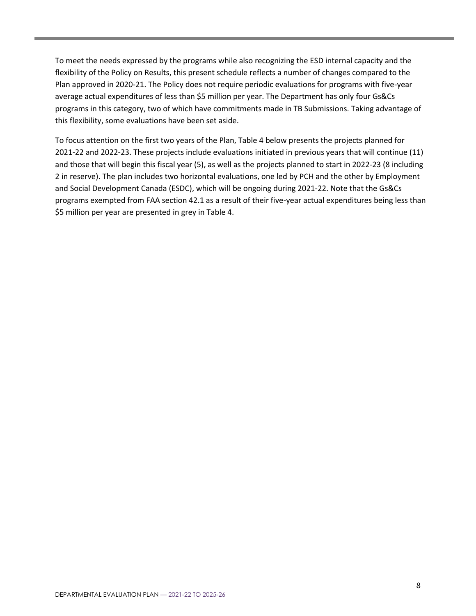To meet the needs expressed by the programs while also recognizing the ESD internal capacity and the flexibility of the Policy on Results, this present schedule reflects a number of changes compared to the Plan approved in 2020-21. The Policy does not require periodic evaluations for programs with five-year average actual expenditures of less than \$5 million per year. The Department has only four Gs&Cs programs in this category, two of which have commitments made in TB Submissions. Taking advantage of this flexibility, some evaluations have been set aside.

<span id="page-12-0"></span>To focus attention on the first two years of the Plan, Table 4 below presents the projects planned for 2021-22 and 2022-23. These projects include evaluations initiated in previous years that will continue (11) and those that will begin this fiscal year (5), as well as the projects planned to start in 2022-23 (8 including 2 in reserve). The plan includes two horizontal evaluations, one led by PCH and the other by Employment and Social Development Canada (ESDC), which will be ongoing during 2021-22. Note that the Gs&Cs programs exempted from FAA section 42.1 as a result of their five-year actual expenditures being less than \$5 million per year are presented in grey in Table 4.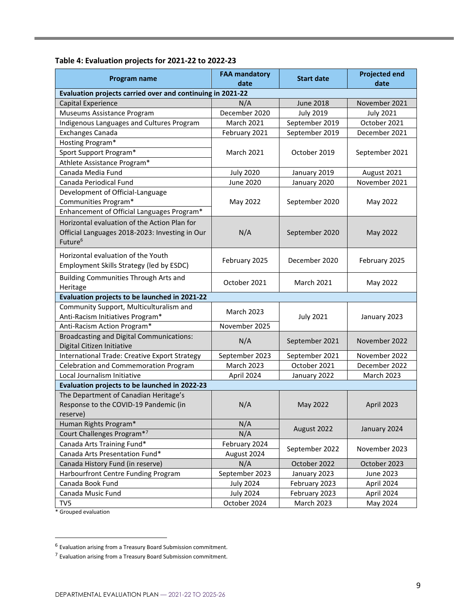#### **Table 4: Evaluation projects for 2021-22 to 2022-23**

| Program name                                                                                                          | <b>FAA mandatory</b><br>date | <b>Start date</b> | <b>Projected end</b><br>date |  |
|-----------------------------------------------------------------------------------------------------------------------|------------------------------|-------------------|------------------------------|--|
| Evaluation projects carried over and continuing in 2021-22                                                            |                              |                   |                              |  |
| Capital Experience                                                                                                    | N/A                          | <b>June 2018</b>  | November 2021                |  |
| Museums Assistance Program                                                                                            | December 2020                | <b>July 2019</b>  | <b>July 2021</b>             |  |
| Indigenous Languages and Cultures Program                                                                             | <b>March 2021</b>            | September 2019    | October 2021                 |  |
| <b>Exchanges Canada</b>                                                                                               | February 2021                | September 2019    | December 2021                |  |
| Hosting Program*                                                                                                      |                              |                   |                              |  |
| Sport Support Program*                                                                                                | <b>March 2021</b>            | October 2019      | September 2021               |  |
| Athlete Assistance Program*                                                                                           |                              |                   |                              |  |
| Canada Media Fund                                                                                                     | <b>July 2020</b>             | January 2019      | August 2021                  |  |
| Canada Periodical Fund                                                                                                | <b>June 2020</b>             | January 2020      | November 2021                |  |
| Development of Official-Language                                                                                      |                              |                   |                              |  |
| Communities Program*                                                                                                  | May 2022                     | September 2020    | May 2022                     |  |
| Enhancement of Official Languages Program*                                                                            |                              |                   |                              |  |
| Horizontal evaluation of the Action Plan for<br>Official Languages 2018-2023: Investing in Our<br>Future <sup>6</sup> | N/A                          | September 2020    | May 2022                     |  |
| Horizontal evaluation of the Youth<br>Employment Skills Strategy (led by ESDC)                                        | February 2025                | December 2020     | February 2025                |  |
| Building Communities Through Arts and<br>Heritage                                                                     | October 2021                 | <b>March 2021</b> | May 2022                     |  |
| Evaluation projects to be launched in 2021-22                                                                         |                              |                   |                              |  |
| Community Support, Multiculturalism and<br>Anti-Racism Initiatives Program*                                           | <b>March 2023</b>            | <b>July 2021</b>  | January 2023                 |  |
| Anti-Racism Action Program*                                                                                           | November 2025                |                   |                              |  |
| <b>Broadcasting and Digital Communications:</b><br>Digital Citizen Initiative                                         | N/A                          | September 2021    | November 2022                |  |
| International Trade: Creative Export Strategy                                                                         | September 2023               | September 2021    | November 2022                |  |
| Celebration and Commemoration Program                                                                                 | March 2023                   | October 2021      | December 2022                |  |
| Local Journalism Initiative                                                                                           | April 2024                   | January 2022      | <b>March 2023</b>            |  |
| Evaluation projects to be launched in 2022-23                                                                         |                              |                   |                              |  |
| The Department of Canadian Heritage's<br>Response to the COVID-19 Pandemic (in<br>reserve)                            | N/A                          | May 2022          | April 2023                   |  |
| Human Rights Program*                                                                                                 | N/A                          | August 2022       | January 2024                 |  |
| Court Challenges Program*7                                                                                            | N/A                          |                   |                              |  |
| Canada Arts Training Fund*                                                                                            | February 2024                | September 2022    | November 2023                |  |
| Canada Arts Presentation Fund*                                                                                        | August 2024                  |                   |                              |  |
| Canada History Fund (in reserve)                                                                                      | N/A                          | October 2022      | October 2023                 |  |
| Harbourfront Centre Funding Program                                                                                   | September 2023               | January 2023      | June 2023                    |  |
| Canada Book Fund                                                                                                      | <b>July 2024</b>             | February 2023     | April 2024                   |  |
| Canada Music Fund                                                                                                     | <b>July 2024</b>             | February 2023     | April 2024                   |  |
| TV5<br>* Grouped evaluation                                                                                           | October 2024                 | <b>March 2023</b> | May 2024                     |  |

<sup>&</sup>lt;sup>6</sup> Evaluation arising from a Treasury Board Submission commitment.

<sup>&</sup>lt;sup>7</sup> Evaluation arising from a Treasury Board Submission commitment.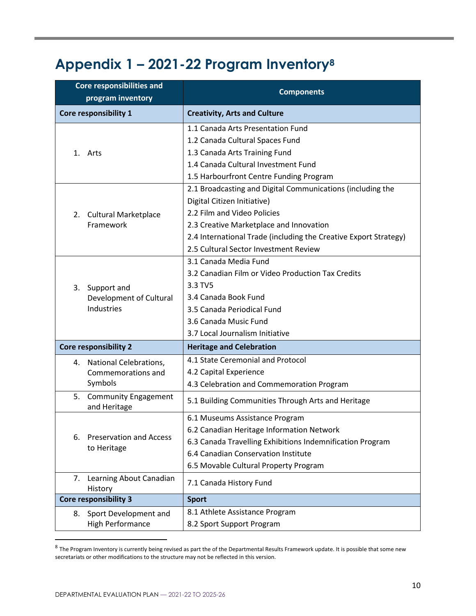# <span id="page-14-0"></span>**Appendix 1 – 2021-22 Program Inventory<sup>8</sup>**

|    | <b>Core responsibilities and</b><br>program inventory | <b>Components</b>                                                |  |  |  |  |  |  |
|----|-------------------------------------------------------|------------------------------------------------------------------|--|--|--|--|--|--|
|    |                                                       |                                                                  |  |  |  |  |  |  |
|    | Core responsibility 1                                 | <b>Creativity, Arts and Culture</b>                              |  |  |  |  |  |  |
|    |                                                       | 1.1 Canada Arts Presentation Fund                                |  |  |  |  |  |  |
|    |                                                       | 1.2 Canada Cultural Spaces Fund                                  |  |  |  |  |  |  |
|    | 1. Arts                                               | 1.3 Canada Arts Training Fund                                    |  |  |  |  |  |  |
|    |                                                       | 1.4 Canada Cultural Investment Fund                              |  |  |  |  |  |  |
|    |                                                       | 1.5 Harbourfront Centre Funding Program                          |  |  |  |  |  |  |
|    |                                                       | 2.1 Broadcasting and Digital Communications (including the       |  |  |  |  |  |  |
|    |                                                       | Digital Citizen Initiative)                                      |  |  |  |  |  |  |
|    | 2. Cultural Marketplace                               | 2.2 Film and Video Policies                                      |  |  |  |  |  |  |
|    | Framework                                             | 2.3 Creative Marketplace and Innovation                          |  |  |  |  |  |  |
|    |                                                       | 2.4 International Trade (including the Creative Export Strategy) |  |  |  |  |  |  |
|    |                                                       | 2.5 Cultural Sector Investment Review                            |  |  |  |  |  |  |
|    |                                                       | 3.1 Canada Media Fund                                            |  |  |  |  |  |  |
|    | Support and<br>Development of Cultural<br>Industries  | 3.2 Canadian Film or Video Production Tax Credits                |  |  |  |  |  |  |
| 3. |                                                       | 3.3 TV5                                                          |  |  |  |  |  |  |
|    |                                                       | 3.4 Canada Book Fund                                             |  |  |  |  |  |  |
|    |                                                       | 3.5 Canada Periodical Fund                                       |  |  |  |  |  |  |
|    |                                                       | 3.6 Canada Music Fund                                            |  |  |  |  |  |  |
|    |                                                       | 3.7 Local Journalism Initiative                                  |  |  |  |  |  |  |
|    | <b>Core responsibility 2</b>                          | <b>Heritage and Celebration</b>                                  |  |  |  |  |  |  |
| 4. | <b>National Celebrations,</b>                         | 4.1 State Ceremonial and Protocol                                |  |  |  |  |  |  |
|    | Commemorations and                                    | 4.2 Capital Experience                                           |  |  |  |  |  |  |
|    | Symbols                                               | 4.3 Celebration and Commemoration Program                        |  |  |  |  |  |  |
| 5. | <b>Community Engagement</b><br>and Heritage           | 5.1 Building Communities Through Arts and Heritage               |  |  |  |  |  |  |
|    |                                                       | 6.1 Museums Assistance Program                                   |  |  |  |  |  |  |
|    |                                                       | 6.2 Canadian Heritage Information Network                        |  |  |  |  |  |  |
| 6. | <b>Preservation and Access</b>                        | 6.3 Canada Travelling Exhibitions Indemnification Program        |  |  |  |  |  |  |
|    | to Heritage                                           | 6.4 Canadian Conservation Institute                              |  |  |  |  |  |  |
|    |                                                       | 6.5 Movable Cultural Property Program                            |  |  |  |  |  |  |
| 7. | Learning About Canadian<br>History                    | 7.1 Canada History Fund                                          |  |  |  |  |  |  |
|    | <b>Core responsibility 3</b>                          | <b>Sport</b>                                                     |  |  |  |  |  |  |
| 8. | Sport Development and                                 | 8.1 Athlete Assistance Program                                   |  |  |  |  |  |  |
|    | <b>High Performance</b>                               | 8.2 Sport Support Program                                        |  |  |  |  |  |  |

 $8$  The Program Inventory is currently being revised as part the of the Departmental Results Framework update. It is possible that some new secretariats or other modifications to the structure may not be reflected in this version.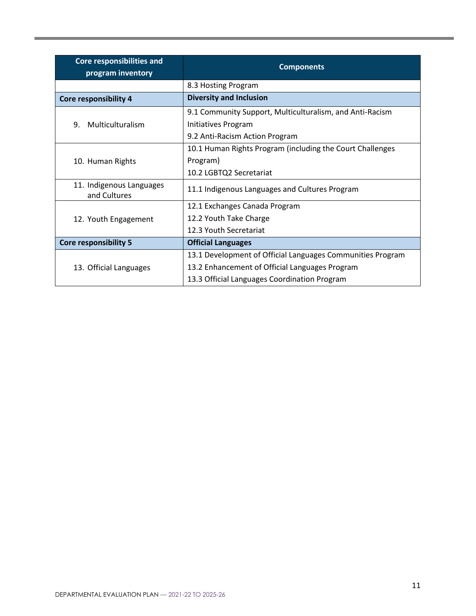| <b>Core responsibilities and</b><br>program inventory | <b>Components</b>                                          |  |  |  |  |  |  |
|-------------------------------------------------------|------------------------------------------------------------|--|--|--|--|--|--|
|                                                       | 8.3 Hosting Program                                        |  |  |  |  |  |  |
| Core responsibility 4                                 | <b>Diversity and Inclusion</b>                             |  |  |  |  |  |  |
|                                                       | 9.1 Community Support, Multiculturalism, and Anti-Racism   |  |  |  |  |  |  |
| Multiculturalism<br>9.                                | Initiatives Program                                        |  |  |  |  |  |  |
|                                                       | 9.2 Anti-Racism Action Program                             |  |  |  |  |  |  |
|                                                       | 10.1 Human Rights Program (including the Court Challenges  |  |  |  |  |  |  |
| 10. Human Rights                                      | Program)                                                   |  |  |  |  |  |  |
|                                                       | 10.2 LGBTQ2 Secretariat                                    |  |  |  |  |  |  |
| 11. Indigenous Languages<br>and Cultures              | 11.1 Indigenous Languages and Cultures Program             |  |  |  |  |  |  |
|                                                       | 12.1 Exchanges Canada Program                              |  |  |  |  |  |  |
| 12. Youth Engagement                                  | 12.2 Youth Take Charge                                     |  |  |  |  |  |  |
|                                                       | 12.3 Youth Secretariat                                     |  |  |  |  |  |  |
| <b>Core responsibility 5</b>                          | <b>Official Languages</b>                                  |  |  |  |  |  |  |
|                                                       | 13.1 Development of Official Languages Communities Program |  |  |  |  |  |  |
| 13. Official Languages                                | 13.2 Enhancement of Official Languages Program             |  |  |  |  |  |  |
|                                                       | 13.3 Official Languages Coordination Program               |  |  |  |  |  |  |

**State State**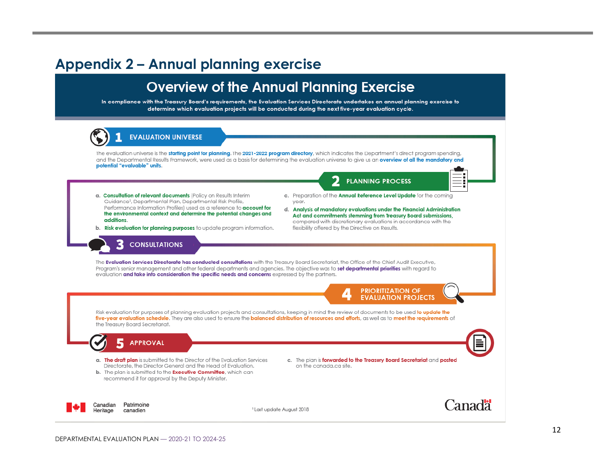### **Appendix 2 – Annual planning exercise**

### **Overview of the Annual Planning Exercise**

In compliance with the Treasury Board's requirements, the Evaluation Services Directorate undertakes an annual planning exercise to determine which evaluation projects will be conducted during the next five-year evaluation cycle.

<span id="page-16-0"></span>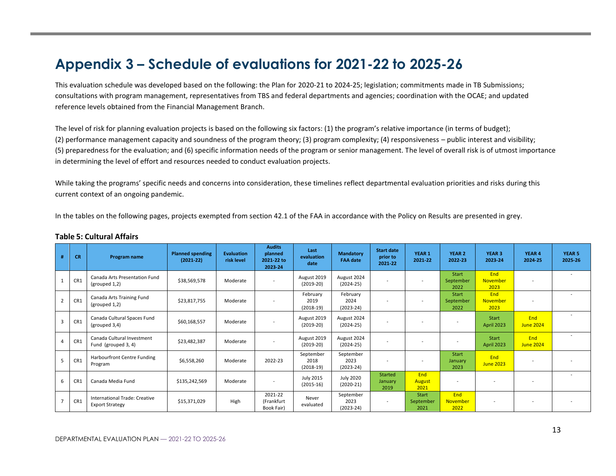## **Appendix 3 – Schedule of evaluations for 2021-22 to 2025-26**

This evaluation schedule was developed based on the following: the Plan for 2020-21 to 2024-25; legislation; commitments made in TB Submissions; consultations with program management, representatives from TBS and federal departments and agencies; coordination with the OCAE; and updated reference levels obtained from the Financial Management Branch.

The level of risk for planning evaluation projects is based on the following six factors: (1) the program's relative importance (in terms of budget); (2) performance management capacity and soundness of the program theory; (3) program complexity; (4) responsiveness – public interest and visibility; (5) preparedness for the evaluation; and (6) specific information needs of the program or senior management. The level of overall risk is of utmost importance in determining the level of effort and resources needed to conduct evaluation projects.

<span id="page-17-0"></span>While taking the programs' specific needs and concerns into consideration, these timelines reflect departmental evaluation priorities and risks during this current context of an ongoing pandemic.

In the tables on the following pages, projects exempted from section 42.1 of the FAA in accordance with the Policy on Results are presented in grey.

<span id="page-17-1"></span>

| #              | <b>CR</b>       | Program name                                            | <b>Planned spending</b><br>$(2021 - 22)$ | <b>Evaluation</b><br>risk level | <b>Audits</b><br>planned<br>2021-22 to<br>2023-24 | Last<br>evaluation<br>date       | <b>Mandatory</b><br><b>FAA</b> date | <b>Start date</b><br>prior to<br>2021-22 | YEAR 1<br>2021-22            | <b>YEAR 2</b><br>2022-23          | YEAR 3<br>2023-24                     | <b>YEAR 4</b><br>2024-25 | <b>YEAR 5</b><br>2025-26 |
|----------------|-----------------|---------------------------------------------------------|------------------------------------------|---------------------------------|---------------------------------------------------|----------------------------------|-------------------------------------|------------------------------------------|------------------------------|-----------------------------------|---------------------------------------|--------------------------|--------------------------|
|                | CR1             | Canada Arts Presentation Fund<br>(grouped 1,2)          | \$38,569,578                             | Moderate                        | $\sim$                                            | August 2019<br>$(2019-20)$       | August 2024<br>$(2024-25)$          | $\overline{\phantom{a}}$                 | $\overline{\phantom{0}}$     | <b>Start</b><br>September<br>2022 | <b>End</b><br><b>November</b><br>2023 |                          |                          |
| $\overline{2}$ | CR1             | Canada Arts Training Fund<br>(grouped 1,2)              | \$23,817,755                             | Moderate                        | $\overline{\phantom{a}}$                          | February<br>2019<br>$(2018-19)$  | February<br>2024<br>$(2023 - 24)$   | $\overline{\phantom{a}}$                 | ٠                            | <b>Start</b><br>September<br>2022 | <b>End</b><br><b>November</b><br>2023 |                          | $\overline{\phantom{a}}$ |
| 3              | CR1             | Canada Cultural Spaces Fund<br>(grouped 3,4)            | \$60,168,557                             | Moderate                        | $\sim$                                            | August 2019<br>$(2019-20)$       | August 2024<br>$(2024-25)$          |                                          |                              | $\overline{\phantom{a}}$          | Start<br>April 2023                   | End<br>June 2024         |                          |
|                | CR1             | Canada Cultural Investment<br>Fund (grouped 3, 4)       | \$23,482,387                             | Moderate                        | $\overline{\phantom{a}}$                          | August 2019<br>$(2019-20)$       | August 2024<br>$(2024-25)$          | $\sim$                                   | $\overline{\phantom{a}}$     | $\overline{\phantom{a}}$          | Start<br><b>April 2023</b>            | End<br><b>June 2024</b>  |                          |
| 5              | CR1             | Harbourfront Centre Funding<br>Program                  | \$6,558,260                              | Moderate                        | 2022-23                                           | September<br>2018<br>$(2018-19)$ | September<br>2023<br>$(2023 - 24)$  | $\overline{a}$                           |                              | Start<br>January<br>2023          | End<br><b>June 2023</b>               |                          |                          |
| 6              | CR <sub>1</sub> | Canada Media Fund                                       | \$135,242,569                            | Moderate                        |                                                   | <b>July 2015</b><br>$(2015-16)$  | <b>July 2020</b><br>$(2020-21)$     | <b>Started</b><br>January<br>2019        | End<br><b>August</b><br>2021 | $\overline{\phantom{a}}$          |                                       |                          |                          |
| $\overline{7}$ | CR1             | International Trade: Creative<br><b>Export Strategy</b> | \$15,371,029                             | High                            | 2021-22<br>(Frankfurt<br>Book Fair)               | Never<br>evaluated               | September<br>2023<br>$(2023 - 24)$  | $\overline{\phantom{0}}$                 | Start<br>September<br>2021   | End<br>November<br>2022           | $\overline{\phantom{a}}$              |                          |                          |

#### **Table 5: Cultural Affairs**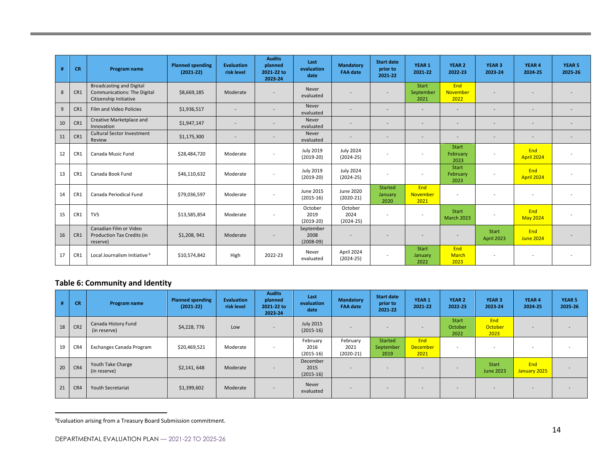| #  | <b>CR</b> | Program name                                                                                    | <b>Planned spending</b><br>$(2021-22)$ | <b>Evaluation</b><br>risk level | <b>Audits</b><br>planned<br>2021-22 to<br>2023-24 | Last<br>evaluation<br>date       | <b>Mandatory</b><br><b>FAA date</b> | <b>Start date</b><br>prior to<br>2021-22 | YEAR 1<br>2021-22                 | <b>YEAR 2</b><br>2022-23           | <b>YEAR 3</b><br>2023-24          | YEAR 4<br>2024-25        | <b>YEAR 5</b><br>2025-26 |
|----|-----------|-------------------------------------------------------------------------------------------------|----------------------------------------|---------------------------------|---------------------------------------------------|----------------------------------|-------------------------------------|------------------------------------------|-----------------------------------|------------------------------------|-----------------------------------|--------------------------|--------------------------|
| 8  | CR1       | <b>Broadcasting and Digital</b><br><b>Communications: The Digital</b><br>Citizenship Initiative | \$8,669,185                            | Moderate                        |                                                   | Never<br>evaluated               |                                     | ÷                                        | <b>Start</b><br>September<br>2021 | End<br><b>November</b><br>2022     |                                   |                          |                          |
| 9  | CR1       | Film and Video Policies                                                                         | \$1,936,517                            | $\overline{\phantom{a}}$        | $\overline{\phantom{0}}$                          | Never<br>evaluated               |                                     | ÷                                        | $\sim$                            | $\overline{a}$                     | $\overline{\phantom{0}}$          |                          |                          |
| 10 | CR1       | Creative Marketplace and<br>Innovation                                                          | \$1,947,147                            | $\overline{\phantom{0}}$        |                                                   | Never<br>evaluated               |                                     |                                          |                                   |                                    |                                   |                          |                          |
| 11 | CR1       | <b>Cultural Sector Investment</b><br>Review                                                     | \$1,175,300                            | $\overline{\phantom{a}}$        |                                                   | Never<br>evaluated               | $\overline{\phantom{a}}$            | $\overline{\phantom{a}}$                 | $\overline{\phantom{a}}$          | $\overline{\phantom{a}}$           | Ξ.                                |                          |                          |
| 12 | CR1       | Canada Music Fund                                                                               | \$28,484,720                           | Moderate                        | $\sim$                                            | <b>July 2019</b><br>$(2019-20)$  | <b>July 2024</b><br>$(2024-25)$     | $\sim$                                   | $\overline{\phantom{a}}$          | Start<br>February<br>2023          | $\overline{\phantom{a}}$          | End<br><b>April 2024</b> |                          |
| 13 | CR1       | Canada Book Fund                                                                                | \$46,110,632                           | Moderate                        | $\overline{\phantom{a}}$                          | <b>July 2019</b><br>$(2019-20)$  | <b>July 2024</b><br>$(2024-25)$     | $\overline{\phantom{a}}$                 | $\overline{\phantom{a}}$          | Start<br>February<br>2023          | $\overline{\phantom{a}}$          | End<br>April 2024        |                          |
| 14 | CR1       | Canada Periodical Fund                                                                          | \$79,036,597                           | Moderate                        | $\overline{\phantom{a}}$                          | June 2015<br>$(2015-16)$         | <b>June 2020</b><br>$(2020-21)$     | <b>Started</b><br>January<br>2020        | End<br><b>November</b><br>2021    | $\overline{\phantom{a}}$           |                                   |                          |                          |
| 15 | CR1       | TV5                                                                                             | \$13,585,854                           | Moderate                        | $\overline{\phantom{a}}$                          | October<br>2019<br>$(2019-20)$   | October<br>2024<br>$(2024-25)$      | $\sim$                                   | $\overline{\phantom{a}}$          | Start<br><b>March 2023</b>         |                                   | End<br><b>May 2024</b>   |                          |
| 16 | CR1       | Canadian Film or Video<br><b>Production Tax Credits (in</b><br>reserve)                         | \$1,208,941                            | Moderate                        |                                                   | September<br>2008<br>$(2008-09)$ |                                     |                                          |                                   |                                    | <b>Start</b><br><b>April 2023</b> | End<br><b>June 2024</b>  |                          |
| 17 | CR1       | Local Journalism Initiative 9                                                                   | \$10,574,842                           | High                            | 2022-23                                           | Never<br>evaluated               | April 2024<br>$(2024 - 25)$         | $\sim$                                   | <b>Start</b><br>January<br>2022   | <b>End</b><br><b>March</b><br>2023 |                                   |                          |                          |

#### **Table 6: Community and Identity**

|    | <b>CR</b>       | Program name                        | <b>Planned spending</b><br>$(2021 - 22)$ | <b>Evaluation</b><br>risk level | <b>Audits</b><br>planned<br>2021-22 to<br>2023-24 | Last<br>evaluation<br>date      | <b>Mandatory</b><br><b>FAA date</b> | <b>Start date</b><br>prior to<br>2021-22 | YEAR <sub>1</sub><br>2021-22 | <b>YEAR 2</b><br>2022-23        | YEAR 3<br>2023-24             | YEAR 4<br>2024-25   | <b>YEAR 5</b><br>2025-26 |
|----|-----------------|-------------------------------------|------------------------------------------|---------------------------------|---------------------------------------------------|---------------------------------|-------------------------------------|------------------------------------------|------------------------------|---------------------------------|-------------------------------|---------------------|--------------------------|
| 18 | CR <sub>2</sub> | Canada History Fund<br>(in reserve) | \$4,228,776                              | Low                             |                                                   | <b>July 2015</b><br>$(2015-16)$ |                                     | <b>.</b>                                 |                              | <b>Start</b><br>October<br>2022 | End<br><b>October</b><br>2023 |                     | $\overline{\phantom{0}}$ |
| 19 | CR4             | Exchanges Canada Program            | \$20,469,521                             | Moderate                        | $\overline{\phantom{0}}$                          | February<br>2016<br>$(2015-16)$ | February<br>2021<br>$(2020-21)$     | <b>Started</b><br>September<br>2019      | End<br>December<br>2021      | $\sim$                          |                               |                     | $\overline{\phantom{0}}$ |
| 20 | CR4             | Youth Take Charge<br>(in reserve)   | \$2,141,648                              | Moderate                        | $\overline{\phantom{0}}$                          | December<br>2015<br>$(2015-16)$ | $\overline{\phantom{a}}$            | $\overline{a}$                           | $\sim$                       | $\overline{\phantom{a}}$        | Start<br><b>June 2023</b>     | End<br>January 2025 | ۰                        |
| 21 | CR4             | Youth Secretariat                   | \$1,399,602                              | Moderate                        | $\sim$                                            | Never<br>evaluated              |                                     |                                          |                              | $\overline{\phantom{0}}$        | . .                           |                     |                          |

<span id="page-18-0"></span> $9$ Evaluation arising from a Treasury Board Submission commitment.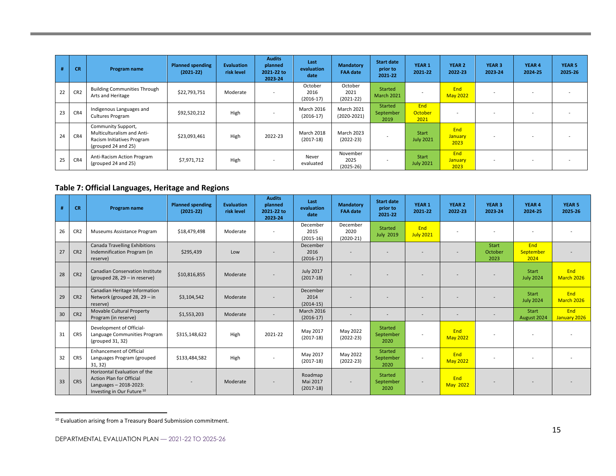|    | <b>CR</b>       | Program name                                                                                          | <b>Planned spending</b><br>$(2021 - 22)$ | <b>Evaluation</b><br>risk level | <b>Audits</b><br>planned<br>2021-22 to<br>2023-24 | Last<br>evaluation<br>date       | <b>Mandatory</b><br><b>FAA date</b> | <b>Start date</b><br>prior to<br>2021-22 | <b>YEAR 1</b><br>2021-22         | <b>YEAR 2</b><br>2022-23 | <b>YEAR 3</b><br>2023-24 | YEAR 4<br>2024-25 | <b>YEAR 5</b><br>2025-26 |
|----|-----------------|-------------------------------------------------------------------------------------------------------|------------------------------------------|---------------------------------|---------------------------------------------------|----------------------------------|-------------------------------------|------------------------------------------|----------------------------------|--------------------------|--------------------------|-------------------|--------------------------|
| 22 | CR <sub>2</sub> | <b>Building Communities Through</b><br>Arts and Heritage                                              | \$22,793,751                             | Moderate                        |                                                   | October<br>2016<br>$(2016-17)$   | October<br>2021<br>$(2021-22)$      | Started<br><b>March 2021</b>             | $\sim$                           | End<br><b>May 2022</b>   |                          |                   |                          |
| 23 | CR4             | Indigenous Languages and<br><b>Cultures Program</b>                                                   | \$92,520,212                             | High                            |                                                   | <b>March 2016</b><br>$(2016-17)$ | <b>March 2021</b><br>$(2020-2021)$  | Started<br>September<br>2019             | End<br>October<br>2021           | $\sim$                   |                          |                   |                          |
| 24 | CR4             | Community Support,<br>Multiculturalism and Anti-<br>Racism Initiatives Program<br>(grouped 24 and 25) | \$23,093,461                             | High                            | 2022-23                                           | <b>March 2018</b><br>$(2017-18)$ | <b>March 2023</b><br>$(2022-23)$    | $\overline{\phantom{0}}$                 | <b>Start</b><br><b>July 2021</b> | End<br>January<br>2023   | $\overline{\phantom{a}}$ |                   |                          |
| 25 | CR4             | Anti-Racism Action Program<br>(grouped 24 and 25)                                                     | \$7,971,712                              | High                            |                                                   | Never<br>evaluated               | November<br>2025<br>$(2025-26)$     | $\overline{\phantom{0}}$                 | <b>Start</b><br><b>July 2021</b> | End<br>January<br>2023   |                          |                   |                          |

#### **Table 7: Official Languages, Heritage and Regions**

| #  | <b>CR</b>       | Program name                                                                                                            | <b>Planned spending</b><br>$(2021 - 22)$ | <b>Evaluation</b><br>risk level | <b>Audits</b><br>planned<br>2021-22 to<br>2023-24 | Last<br>evaluation<br>date         | <b>Mandatory</b><br><b>FAA date</b> | <b>Start date</b><br>prior to<br>2021-22 | YEAR 1<br>2021-22        | YEAR <sub>2</sub><br>2022-23 | <b>YEAR 3</b><br>2023-24 | YEAR 4<br>2024-25         | <b>YEAR 5</b><br>2025-26 |
|----|-----------------|-------------------------------------------------------------------------------------------------------------------------|------------------------------------------|---------------------------------|---------------------------------------------------|------------------------------------|-------------------------------------|------------------------------------------|--------------------------|------------------------------|--------------------------|---------------------------|--------------------------|
| 26 | CR <sub>2</sub> | Museums Assistance Program                                                                                              | \$18,479,498                             | Moderate                        | $\overline{\phantom{a}}$                          | December<br>2015<br>$(2015-16)$    | December<br>2020<br>$(2020-21)$     | <b>Started</b><br><b>July 2019</b>       | End<br><b>July 2021</b>  |                              | $\overline{\phantom{a}}$ |                           |                          |
| 27 | CR <sub>2</sub> | Canada Travelling Exhibitions<br>Indemnification Program (in<br>reserve)                                                | \$295,439                                | Low                             |                                                   | December<br>2016<br>$(2016-17)$    |                                     |                                          |                          |                              | Start<br>October<br>2023 | End<br>September<br>2024  |                          |
| 28 | CR <sub>2</sub> | <b>Canadian Conservation Institute</b><br>(grouped 28, $29 - in$ reserve)                                               | \$10,816,855                             | Moderate                        |                                                   | <b>July 2017</b><br>$(2017-18)$    |                                     |                                          |                          |                              |                          | Start<br><b>July 2024</b> | End<br>March 2026        |
| 29 | CR <sub>2</sub> | Canadian Heritage Information<br>Network (grouped 28, 29 - in<br>reserve)                                               | \$3,104,542                              | Moderate                        |                                                   | December<br>2014<br>$(2014-15)$    |                                     |                                          |                          |                              |                          | Start<br><b>July 2024</b> | End<br><b>March 2026</b> |
| 30 | CR <sub>2</sub> | Movable Cultural Property<br>Program (in reserve)                                                                       | \$1,553,203                              | Moderate                        | $\overline{\phantom{a}}$                          | <b>March 2016</b><br>$(2016-17)$   |                                     | $\overline{\phantom{a}}$                 |                          | $\sim$                       | $\overline{a}$           | Start<br>August 2024      | End<br>January 2026      |
| 31 | CR5             | Development of Official-<br>Language Communities Program<br>(grouped 31, 32)                                            | \$315,148,622                            | High                            | 2021-22                                           | May 2017<br>$(2017-18)$            | May 2022<br>$(2022 - 23)$           | Started<br>September<br>2020             | $\overline{\phantom{a}}$ | End<br><b>May 2022</b>       | $\overline{\phantom{a}}$ |                           |                          |
| 32 | CR5             | <b>Enhancement of Official</b><br>Languages Program (grouped<br>31, 32)                                                 | \$133,484,582                            | High                            |                                                   | May 2017<br>$(2017-18)$            | May 2022<br>$(2022 - 23)$           | <b>Started</b><br>September<br>2020      |                          | End<br><b>May 2022</b>       | $\overline{\phantom{a}}$ |                           |                          |
| 33 | CR5             | Horizontal Evaluation of the<br><b>Action Plan for Official</b><br>Languages - 2018-2023:<br>Investing in Our Future 10 |                                          | Moderate                        |                                                   | Roadmap<br>Mai 2017<br>$(2017-18)$ |                                     | <b>Started</b><br>September<br>2020      |                          | End<br><b>May 2022</b>       |                          |                           |                          |

<span id="page-19-0"></span><sup>10</sup> Evaluation arising from a Treasury Board Submission commitment.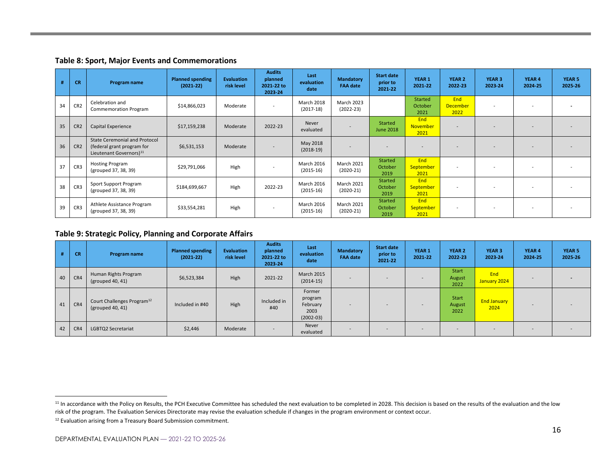**Table 8: Sport, Major Events and Commemorations**

| #  | <b>CR</b>       | Program name                                                                                              | <b>Planned spending</b><br>$(2021 - 22)$ | <b>Evaluation</b><br>risk level | <b>Audits</b><br>planned<br>2021-22 to<br>2023-24 | Last<br>evaluation<br>date       | <b>Mandatory</b><br><b>FAA date</b> | Start date<br>prior to<br>2021-22 | YEAR <sub>1</sub><br>2021-22    | YEAR 2<br>2022-23              | YEAR <sub>3</sub><br>2023-24 | YEAR 4<br>2024-25 | YEAR <sub>5</sub><br>2025-26 |
|----|-----------------|-----------------------------------------------------------------------------------------------------------|------------------------------------------|---------------------------------|---------------------------------------------------|----------------------------------|-------------------------------------|-----------------------------------|---------------------------------|--------------------------------|------------------------------|-------------------|------------------------------|
| 34 | CR <sub>2</sub> | Celebration and<br><b>Commemoration Program</b>                                                           | \$14,866,023                             | Moderate                        | $\overline{\phantom{a}}$                          | <b>March 2018</b><br>$(2017-18)$ | March 2023<br>$(2022 - 23)$         |                                   | Started<br>October<br>2021      | End<br><b>December</b><br>2022 |                              |                   |                              |
| 35 | CR <sub>2</sub> | <b>Capital Experience</b>                                                                                 | \$17,159,238                             | Moderate                        | 2022-23                                           | Never<br>evaluated               |                                     | Started<br><b>June 2018</b>       | End<br>November<br>2021         | -                              |                              |                   |                              |
| 36 | CR <sub>2</sub> | <b>State Ceremonial and Protocol</b><br>(federal grant program for<br>Lieutenant Governors) <sup>11</sup> | \$6,531,153                              | Moderate                        | $\sim$                                            | May 2018<br>$(2018-19)$          |                                     | ۰                                 |                                 |                                |                              |                   |                              |
| 37 | CR3             | <b>Hosting Program</b><br>(grouped 37, 38, 39)                                                            | \$29,791,066                             | High                            |                                                   | <b>March 2016</b><br>$(2015-16)$ | March 2021<br>$(2020-21)$           | Started<br>October<br>2019        | End<br><b>September</b><br>2021 | $\overline{\phantom{0}}$       |                              |                   |                              |
| 38 | CR <sub>3</sub> | Sport Support Program<br>(grouped 37, 38, 39)                                                             | \$184,699,667                            | High                            | 2022-23                                           | <b>March 2016</b><br>$(2015-16)$ | March 2021<br>$(2020-21)$           | Started<br>October<br>2019        | End<br><b>September</b><br>2021 | $\overline{\phantom{a}}$       |                              |                   |                              |
| 39 | CR <sub>3</sub> | Athlete Assistance Program<br>(grouped 37, 38, 39)                                                        | \$33,554,281                             | High                            |                                                   | <b>March 2016</b><br>$(2015-16)$ | March 2021<br>$(2020-21)$           | Started<br>October<br>2019        | End<br>September<br>2021        | $\overline{\phantom{a}}$       |                              |                   |                              |

#### <span id="page-20-0"></span>**Table 9: Strategic Policy, Planning and Corporate Affairs**

|    | <b>CR</b> | Program name                                               | <b>Planned spending</b><br>$(2021 - 22)$ | <b>Evaluation</b><br>risk level | <b>Audits</b><br>planned<br>2021-22 to<br>2023-24 | Last<br>evaluation<br>date                             | <b>Mandatory</b><br><b>FAA date</b> | <b>Start date</b><br>prior to<br>2021-22 | <b>YEAR 1</b><br>2021-22 | <b>YEAR 2</b><br>2022-23       | <b>YEAR 3</b><br>2023-24   | YEAR 4<br>2024-25 | <b>YEAR 5</b><br>2025-26 |
|----|-----------|------------------------------------------------------------|------------------------------------------|---------------------------------|---------------------------------------------------|--------------------------------------------------------|-------------------------------------|------------------------------------------|--------------------------|--------------------------------|----------------------------|-------------------|--------------------------|
| 40 | CR4       | Human Rights Program<br>(grouped 40, 41)                   | \$6,523,384                              | High                            | 2021-22                                           | <b>March 2015</b><br>$(2014-15)$                       | -                                   | $\sim$                                   | $\sim$                   | Start<br>August<br>2022        | End<br>January 2024        |                   |                          |
| 41 | CR4       | Court Challenges Program <sup>12</sup><br>(grouped 40, 41) | Included in #40                          | High                            | Included in<br>#40                                | Former<br>program<br>February<br>2003<br>$(2002 - 03)$ | ÷                                   |                                          | $\sim$                   | <b>Start</b><br>August<br>2022 | <b>End January</b><br>2024 |                   |                          |
| 42 | CR4       | LGBTQ2 Secretariat                                         | \$2,446                                  | Moderate                        | $\overline{\phantom{a}}$                          | Never<br>evaluated                                     | $\overline{\phantom{0}}$            | $\sim$                                   | $\sim$                   | $\overline{\phantom{a}}$       | $\overline{\phantom{0}}$   | -                 |                          |

<span id="page-20-1"></span><sup>&</sup>lt;sup>11</sup> In accordance with the Policy on Results, the PCH Executive Committee has scheduled the next evaluation to be completed in 2028. This decision is based on the results of the evaluation and the low risk of the program. The Evaluation Services Directorate may revise the evaluation schedule if changes in the program environment or context occur.

<sup>&</sup>lt;sup>12</sup> Evaluation arising from a Treasury Board Submission commitment.